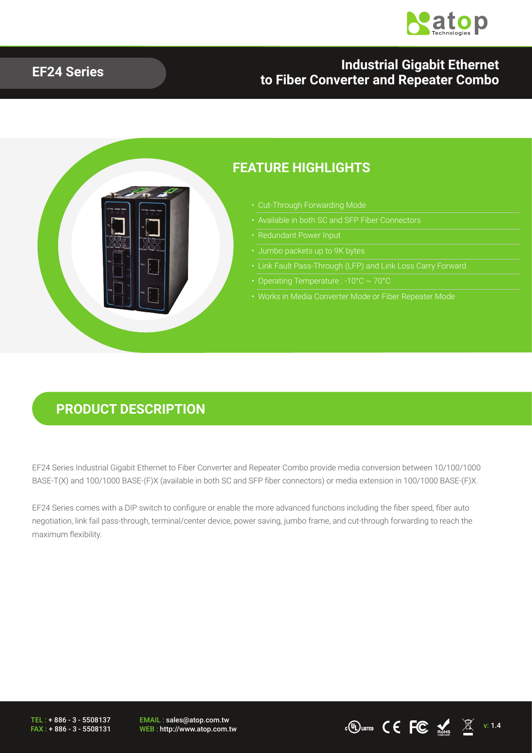

#### **EF24 Series Industrial Gigabit Ethernet to Fiber Converter and Repeater Combo**



### **PRODUCT DESCRIPTION**

EF24 Series Industrial Gigabit Ethernet to Fiber Converter and Repeater Combo provide media conversion between 10/100/1000 BASE-T(X) and 100/1000 BASE-(F)X (available in both SC and SFP fiber connectors) or media extension in 100/1000 BASE-(F)X.

EF24 Series comes with a DIP switch to configure or enable the more advanced functions including the fiber speed, fiber auto negotiation, link fail pass-through, terminal/center device, power saving, jumbo frame, and cut-through forwarding to reach the maximum flexibility.

TEL : + 886 - 3 - 5508137 FAX : + 886 - 3 - 5508131 EMAIL : sales@atop.com.tw

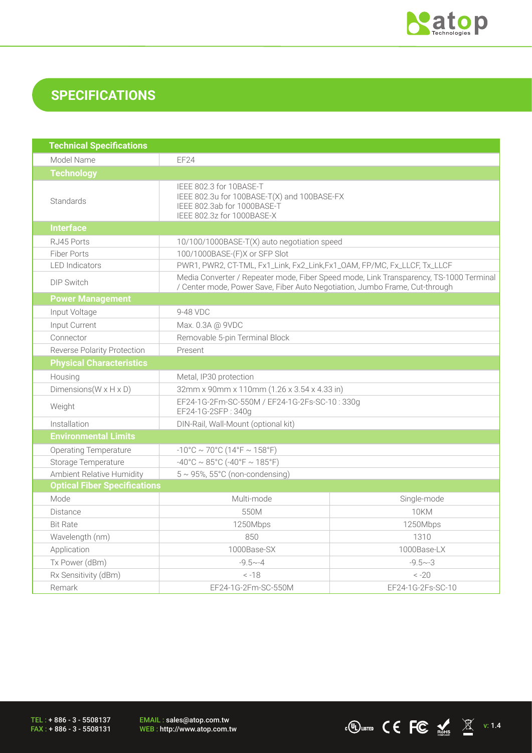

## **SPECIFICATIONS**

| <b>Technical Specifications</b>      |                                                                                                                                                                       |                   |  |  |
|--------------------------------------|-----------------------------------------------------------------------------------------------------------------------------------------------------------------------|-------------------|--|--|
| Model Name                           | EF24                                                                                                                                                                  |                   |  |  |
| <b>Technology</b>                    |                                                                                                                                                                       |                   |  |  |
| <b>Standards</b>                     | IEEE 802.3 for 10BASE-T<br>IEEE 802.3u for 100BASE-T(X) and 100BASE-FX<br>IEEE 802.3ab for 1000BASE-T<br>IEEE 802.3z for 1000BASE-X                                   |                   |  |  |
| <b>Interface</b>                     |                                                                                                                                                                       |                   |  |  |
| RJ45 Ports                           | 10/100/1000BASE-T(X) auto negotiation speed                                                                                                                           |                   |  |  |
| <b>Fiber Ports</b>                   | 100/1000BASE-(F)X or SFP Slot                                                                                                                                         |                   |  |  |
| <b>LED</b> Indicators                | PWR1, PWR2, CT-TML, Fx1_Link, Fx2_Link, Fx1_OAM, FP/MC, Fx_LLCF, Tx_LLCF                                                                                              |                   |  |  |
| <b>DIP Switch</b>                    | Media Converter / Repeater mode, Fiber Speed mode, Link Transparency, TS-1000 Terminal<br>/ Center mode, Power Save, Fiber Auto Negotiation, Jumbo Frame, Cut-through |                   |  |  |
| <b>Power Management</b>              |                                                                                                                                                                       |                   |  |  |
| Input Voltage                        | 9-48 VDC                                                                                                                                                              |                   |  |  |
| Input Current                        | Max. 0.3A @ 9VDC                                                                                                                                                      |                   |  |  |
| Connector                            | Removable 5-pin Terminal Block                                                                                                                                        |                   |  |  |
| Reverse Polarity Protection          | Present                                                                                                                                                               |                   |  |  |
| <b>Physical Characteristics</b>      |                                                                                                                                                                       |                   |  |  |
| Housing                              | Metal, IP30 protection                                                                                                                                                |                   |  |  |
| Dimensions ( $W \times H \times D$ ) | 32mm x 90mm x 110mm (1.26 x 3.54 x 4.33 in)                                                                                                                           |                   |  |  |
| Weight                               | EF24-1G-2Fm-SC-550M / EF24-1G-2Fs-SC-10:330g<br>EF24-1G-2SFP: 340g                                                                                                    |                   |  |  |
| Installation                         | DIN-Rail, Wall-Mount (optional kit)                                                                                                                                   |                   |  |  |
| <b>Environmental Limits</b>          |                                                                                                                                                                       |                   |  |  |
| <b>Operating Temperature</b>         | $-10^{\circ}$ C ~ 70°C (14°F ~ 158°F)                                                                                                                                 |                   |  |  |
| Storage Temperature                  | $-40^{\circ}$ C ~ 85°C (-40°F ~ 185°F)                                                                                                                                |                   |  |  |
| Ambient Relative Humidity            | $5 \sim 95$ %, $55^{\circ}$ C (non-condensing)                                                                                                                        |                   |  |  |
| <b>Optical Fiber Specifications</b>  |                                                                                                                                                                       |                   |  |  |
| Mode                                 | Multi-mode                                                                                                                                                            | Single-mode       |  |  |
| <b>Distance</b>                      | 550M                                                                                                                                                                  | 10KM              |  |  |
| <b>Bit Rate</b>                      | 1250Mbps                                                                                                                                                              | 1250Mbps          |  |  |
| Wavelength (nm)                      | 850                                                                                                                                                                   | 1310              |  |  |
| Application                          | 1000Base-SX                                                                                                                                                           | 1000Base-LX       |  |  |
| Tx Power (dBm)                       | $-9.5 - -4$                                                                                                                                                           | $-9.5 - 3$        |  |  |
| Rx Sensitivity (dBm)                 | $-18$                                                                                                                                                                 | $-20$             |  |  |
| Remark                               | EF24-1G-2Fm-SC-550M                                                                                                                                                   | EF24-1G-2Fs-SC-10 |  |  |

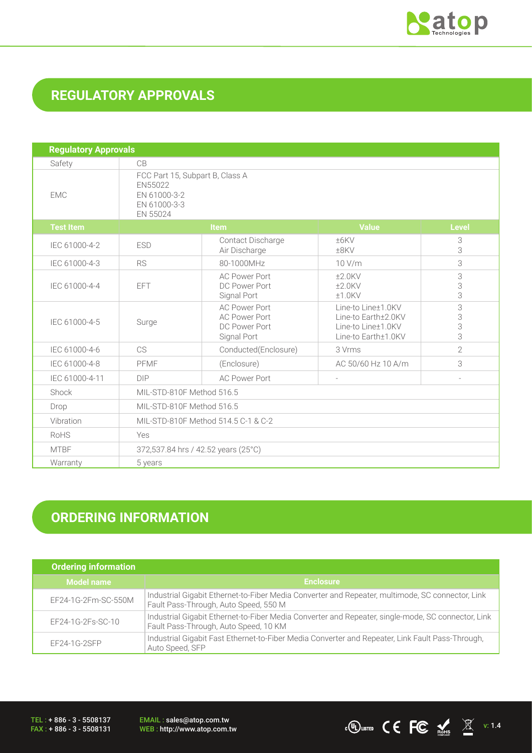

## **REGULATORY APPROVALS**

| <b>Regulatory Approvals</b> |                                                                                        |                                                                              |                                                                                        |                  |
|-----------------------------|----------------------------------------------------------------------------------------|------------------------------------------------------------------------------|----------------------------------------------------------------------------------------|------------------|
| Safety                      | CB                                                                                     |                                                                              |                                                                                        |                  |
| <b>EMC</b>                  | FCC Part 15, Subpart B, Class A<br>EN55022<br>EN 61000-3-2<br>EN 61000-3-3<br>EN 55024 |                                                                              |                                                                                        |                  |
| <b>Test Item</b>            |                                                                                        | <b>Item</b>                                                                  | <b>Value</b>                                                                           | <b>Level</b>     |
| IEC 61000-4-2               | <b>ESD</b>                                                                             | Contact Discharge<br>Air Discharge                                           | ±6KV<br>±8KV                                                                           | 3<br>3           |
| IEC 61000-4-3               | <b>RS</b>                                                                              | 80-1000MHz                                                                   | 10 V/m                                                                                 | 3                |
| IEC 61000-4-4               | <b>EFT</b>                                                                             | <b>AC Power Port</b><br>DC Power Port<br>Signal Port                         | $±2.0$ KV<br>$±2.0$ KV<br>$±1.0$ KV                                                    | 3<br>3<br>3      |
| IEC 61000-4-5               | Surge                                                                                  | <b>AC Power Port</b><br><b>AC Power Port</b><br>DC Power Port<br>Signal Port | Line-to Line±1.0KV<br>Line-to Earth±2.0KV<br>Line-to Line±1.0KV<br>Line-to Earth±1.0KV | 3<br>3<br>3<br>3 |
| IEC 61000-4-6               | CS                                                                                     | Conducted(Enclosure)                                                         | 3 Vrms                                                                                 | $\overline{2}$   |
| IEC 61000-4-8               | PFMF                                                                                   | (Enclosure)                                                                  | AC 50/60 Hz 10 A/m                                                                     | 3                |
| IEC 61000-4-11              | DIP                                                                                    | <b>AC Power Port</b>                                                         |                                                                                        | $\overline{a}$   |
| Shock                       | MIL-STD-810F Method 516.5                                                              |                                                                              |                                                                                        |                  |
| Drop                        | MIL-STD-810F Method 516.5                                                              |                                                                              |                                                                                        |                  |
| Vibration                   | MIL-STD-810F Method 514.5 C-1 & C-2                                                    |                                                                              |                                                                                        |                  |
| RoHS                        | Yes                                                                                    |                                                                              |                                                                                        |                  |
| <b>MTBF</b>                 | 372,537.84 hrs / 42.52 years (25°C)                                                    |                                                                              |                                                                                        |                  |
| Warranty                    | 5 years                                                                                |                                                                              |                                                                                        |                  |

# **ORDERING INFORMATION**

| <b>Ordering information</b> |                                                                                                                                             |
|-----------------------------|---------------------------------------------------------------------------------------------------------------------------------------------|
| <b>Model name</b>           | <b>Enclosure</b>                                                                                                                            |
| EF24-1G-2Fm-SC-550M         | Industrial Gigabit Ethernet-to-Fiber Media Converter and Repeater, multimode, SC connector, Link<br>Fault Pass-Through, Auto Speed, 550 M   |
| EF24-1G-2Fs-SC-10           | Industrial Gigabit Ethernet-to-Fiber Media Converter and Repeater, single-mode, SC connector, Link<br>Fault Pass-Through, Auto Speed, 10 KM |
| $EF24-1G-2SFP$              | Industrial Gigabit Fast Ethernet-to-Fiber Media Converter and Repeater, Link Fault Pass-Through,<br>Auto Speed, SFP                         |

TEL : + 886 - 3 - 5508137 FAX : + 886 - 3 - 5508131 EMAIL : sales@atop.com.tw<br>WEB : http://www.atop.com.tw